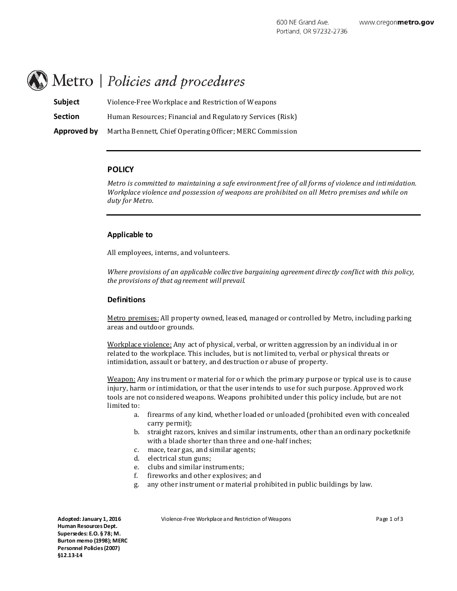# Metro | Policies and procedures

**Subject** Violence-Free Workplace and Restriction of Weapons **Section** Human Resources; Financial and Regulatory Services (Risk) **Approved by** Martha Bennett, Chief Operating Officer; MERC Commission

### **POLICY**

*Metro is committed to maintaining a safe environment free of all forms of violence and inti midation. Workplace violence and possession of weapons are prohibited on all Metro premises and while on duty for Metro.*

#### **Applicable to**

All employees, interns, and volunteers.

*Where provisions of an applicable collective bargaining agreement directly conflict with this policy, the provisions of that agreement will prevail.*

### **Definitions**

Metro premises: All property owned, leased, managed or controlled by Metro, including parking areas and outdoor grounds.

Workplace violence: Any act of physical, verbal, or written aggression by an individual in or related to the workplace. This includes, but is not limited to, verbal or physical threats or intimidation, assaul t or battery, and destruction or abuse of property.

Weapon: Any instrument or material for or which the primary purpose or typical use is to cause injury, harm or intimidation, or that the user intends to use for such purpose. Approv ed work tools are not considered weapons. Weapons prohibited under this policy include, but are not limited to:

- a. firearms of any kind, whether loaded or unloaded (prohibited even with concealed carry permit);
- b. straight razors, knives and similar instruments, other than an ordinary pocketknife with a blade shorter than three and one-half inches;
- c. mace, tear gas, and similar agents;
- d. electrical stun guns;
- e. clubs and similar instruments;<br>f. fireworks and other explosives
- fireworks and other explosives; and
- g. any other instrument or material prohibited in public buildings by law.

**Adopted: January 1, 2016 Human Resources Dept. Supersedes: E.O. § 78; M. Burton memo (1998); MERC Personnel Policies (2007) §12.13-14**

Violence-Free Workplace and Restriction of Weapons The Manuscript of 3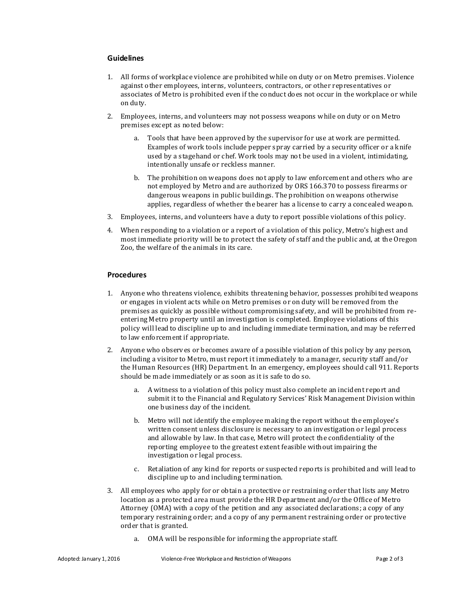## **Guidelines**

- 1. All forms of workplace violence are prohibited while on duty or on Metro premises. Violence against other employees, interns, volunteers, contractors, or other representatives or associates of Metro is prohibited even if the conduct does not occur in the workplace or while on duty.
- 2. Employees, interns, and volunteers may not possess weapons while on duty or on Metro premises except as noted below:
	- a. Tools that have been approved by the supervisor for use at work are permitted. Examples of work tools include pepper spray carried by a security officer or a knife used by a stagehand or chef. Work tools may not be used in a violent, intimidating, intentionally unsafe or reckless manner.
	- b. The prohibition on weapons does not apply to law enforcement and others who are not employed by Metro and are authorized by ORS 166.370 to possess firearms or dangerous weapons in public buildings. The prohibition on weapons otherwise applies, regardless of whether the bearer has a license to carry a concealed weapon.
- 3. Employees, interns, and volunteers have a duty to report possible violations of this policy.
- 4. When responding to a violation or a report of a violation of this policy, Metro's highest and most immediate priority will be to protect the safety of staff and the public and, at the Oregon Zoo, the welfare of the animals in its care.

## **Procedures**

- 1. Anyone who threatens violence, exhibits threatening behavior, possesses prohibited weapons or engages in violent acts while on Metro premises or on duty will be removed from the premises as quickly as possible without compromising safety, and will be prohibited from reentering Metro property until an investigation is completed. Employee violations of this policy will lead to discipline up to and including immediate termination, and may be referred to law enforcement if appropriate.
- 2. Anyone who observ es or becomes aware of a possible violation of this policy by any person, including a visitor to Metro, must report it immediately to a manager, security staff and/or the Human Resources (HR) Department. In an emergency, employees should call 911. Reports should be made immediately or as soon as it is safe to do so.
	- a. A witness to a violation of this policy must also complete an incident report and submit it to the Financial and Regulatory Services' Risk Management Division within one business day of the incident.
	- b. Metro will not identify the employee making the report without the employee's written consent unless disclosure is necessary to an inv estigation or legal process and allowable by law. In that case, Metro will protect the confidentiality of the reporting employee to the greatest extent feasible without impairing the investigation or legal process.
	- c. Retaliation of any kind for reports or suspected reports is prohibited and will lead to discipline up to and including termination.
- 3. All employees who apply for or obtain a protective or restraining order that lists any Metro location as a protected area must provide the HR Department and/or the Office of Metro Attorney (OMA) with a copy of the petition and any associated declarations; a copy of any temporary restraining order; and a copy of any permanent restraining order or protective order that is granted.
	- a. OMA will be responsible for informing the appropriate staff.